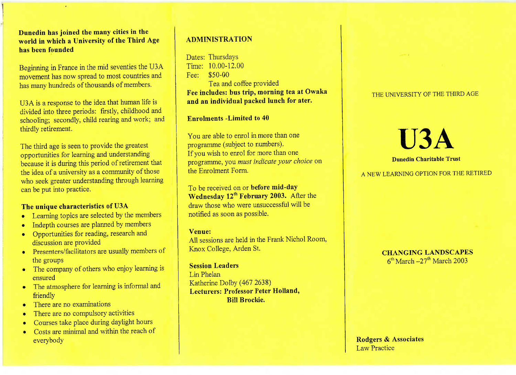**Dunedin has joined the many cities in the world in which a University of the Third Agehas been founded**

Beginning in France in the mid seventies the USA movement has now spread to most countries andhas many hundreds of thousands of members.

U3A is a response to the idea that human life isivided into three periods: firstly, childhood and chooling; secondly, child rearing and work; and thirdly retirement.

The third age is seen to provide the greatest opportunities for learning and understanding because it is during this period of retirement thatthe idea of a university as a community of those who seek greater understanding through learningcan be put into practice.

# **The unique characteristics of USA**

- Learning topics are selected by the members
- Indepth courses are planned by members
- Opportunities for reading, research anddiscussion are provided
- Presenters/facilitators are usually members of the groups
- The company of others who enjoy learning isensured
- The atmosphere for learning is informal andfriendly
- There are no examinations
- There are no compulsory activities
- Courses take place during daylight hours
- Costs are minimal and within the reach of everybody

# **ADMINISTRATION**

Dates: Thursdays $T$ <u>me:</u>  $10.00 - 12.00$ Fee: \$50-00ea and coffee provided **Fee includes: bus trip, morning tea at Owakaand an individual packed lunch for ater.**

**Enrolments -Limited to 40**

You are able to enrol in more than oneprogramme (subject to numbers).f you wish to enrol for more than one programme, you *must indicate your choice* onthe Enrolment Form.

To be received on or **before mid-dayWednesday 12 February 2003.** After the draw those who were unsuccessful will benotified as soon as possible.

#### **Venue:**

 All sessions are held in the Frank Nichol Room,Knox College, Arden St.

**Session Leaders**Lin PhelanKatherine Dolby  $(40/2036)$  **Lecturers: Professor Peter Holland,Bill Brockie.**

### THE UNIVERSITY OF THE THIRD AGE

# U3A**Dunedin Charitable Trust**

# A NEW LEARNING OPTION FOR THE RETIRED FOR THE RETIRED TO A SECOND FOR THE RETIRED TO A SECOND FOR THE RETIRED TO A SECOND FOR THE RETIRED TO A SECOND FOR THE RETIRED TO A SECOND FOR THE RETIRED TO A SECOND FOR THE RETIRED

CHANGING LANDSCAPES  $\frac{1}{\sqrt{2}}$  March 27th March 2005

**Rodgers** *&* **Associates**Law Practice